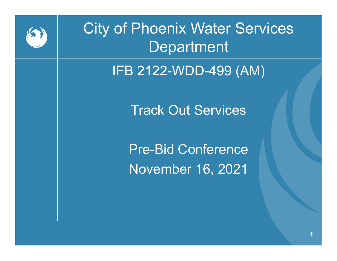

### City of Phoenix Water Services Department

IFB 2122-WDD-499 (AM)

Track Out Services

Pre-Bid Conference November 16, 2021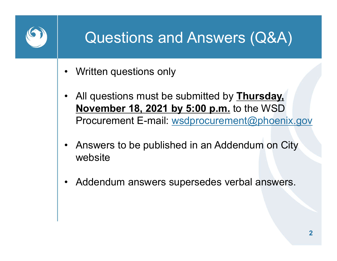## Questions and Answers (Q&A) **Questions and Ansert**<br>• Written questions only<br>• All questions must be submitted

- 
- Questions and Answers (Q&A)<br>• Written questions only<br>• All questions must be submitted by Thursday,<br>November 18, 2021 by 5:00 p.m. to the WSD<br>Procurement E-mail: <u>wsdprocurement@phoenix.gov</u> November 18, 2021 by 5:00 p.m. to the WSD Procurement E-mail: wsdprocurement@phoenix.gov ULTRESTIONS AND ANSWETS (UAA)<br>
• Written questions only<br>
• All questions must be submitted by Thursday,<br>
November 18, 2021 by 5:00 p.m. to the WSD<br>
Procurement E-mail: wsdprocurement@phoenix.gov<br>
• Answers to be published • All questions must be submitted by **Thursday.**<br> **November 18, 2021 by 5:00 p.m.** to the WSD<br>
Procurement E-mail: <u>wsdprocurement@phoenix.</u><br>
• Answers to be published in an Addendum on City<br>
website<br>
• Addendum answers su
- website
-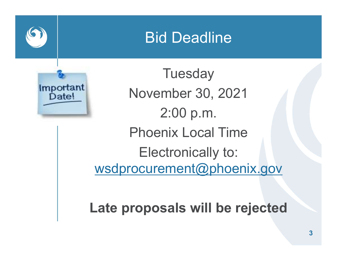#### Bid Deadline



**Tuesday** November 30, 2021 2:00 p.m. Phoenix Local Time Electronically to: wsdprocurement@phoenix.gov

Late proposals will be rejected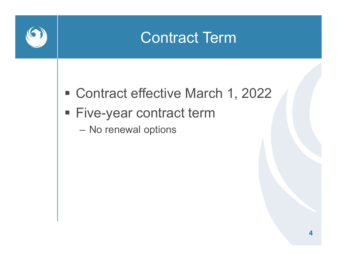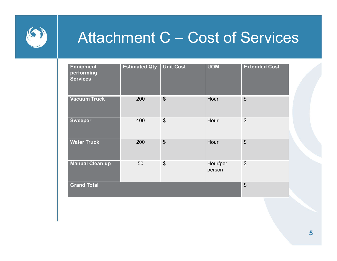

# $\begin{array}{lll} \displaystyle \mathsf{Attention} \ \mathsf{C}-\mathsf{Cost} \ \text{of} \ \mathsf{ServiceS} \ \end{array}$

|                                                   |                      |                           |                    | <b>Attachment C - Cost of Services</b>    |  |
|---------------------------------------------------|----------------------|---------------------------|--------------------|-------------------------------------------|--|
|                                                   |                      |                           |                    |                                           |  |
| <b>Equipment</b><br>performing<br><b>Services</b> | <b>Estimated Qty</b> | <b>Unit Cost</b>          | <b>UOM</b>         | <b>Extended Cost</b>                      |  |
| <b>Vacuum Truck</b>                               | 200                  | $\boldsymbol{\mathsf{S}}$ | Hour               | $\boldsymbol{\mathsf{S}}$                 |  |
| <b>Sweeper</b>                                    | 400                  | $\boldsymbol{\mathsf{S}}$ | Hour               | $\boldsymbol{\mathsf{S}}$                 |  |
| <b>Water Truck</b>                                | 200                  | $\boldsymbol{\theta}$     | Hour               | $\boldsymbol{\theta}$                     |  |
| <b>Manual Clean up</b>                            | 50                   | $\boldsymbol{\$}$         | Hour/per<br>person | $\boldsymbol{\$}$                         |  |
| <b>Grand Total</b>                                |                      |                           |                    | $\, \, \raisebox{12pt}{$\scriptstyle \$}$ |  |
|                                                   |                      |                           |                    |                                           |  |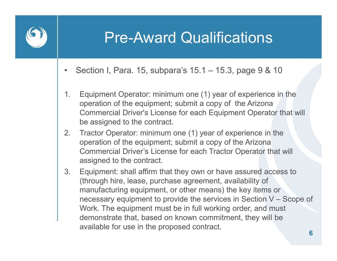

## Pre-Award Qualifications Pre-Award Qualifications<br>• Section I, Para. 15, subpara's 15.1 – 15.3, page 9 & 10<br>1. Equipment Operator: minimum one (1) year of experience in the

- 
- **Pre-Award Qualifications**<br>
Section I, Para. 15, subpara's 15.1 15.3, page 9 & 10<br>
1. Equipment Operator: minimum one (1) year of experience in the<br>
operation of the equipment; submit a copy of the Arizona<br>
Commercial Dr operation of the equipment; submit a copy of the Arizona Commercial Driver's License for each Equipment Operator that will be assigned to the contract. **Pre-Award Qualifications**<br>
Section I, Para. 15, subpara's 15.1 – 15.3, page 9 & 10<br>
1. Equipment Operator: minimum one (1) year of experience in the<br>
operation of the equipment; submit a copy of the Arizona<br>
Commercial Dr 3. Equipment: shall affirm that they own or have assured access to the sensing that they sensing that they of the Arizona<br>
3. Equipment: shall a copy of the Arizona<br>
3. Tractor Operator: minimum one (1) year of experience
- operation of the equipment; submit a copy of the Arizona Commercial Driver's License for each Tractor Operator that will assigned to the contract.
- (through hire, lease, purchase agreement, availability of manufacturing equipment, or other means) the key items or Equipment Operator: minimum one (1) year of experience in the<br>operation of the equipment; submit a copy of the Arizona<br>Commercial Driver's License for each Equipment Operator that will<br>be assigned to the contract.<br>Tractor Work. The equipment must be in full working order, and must demonstrate that, based on known commitment, they will be available for use in the proposed contract.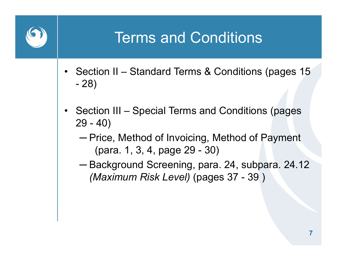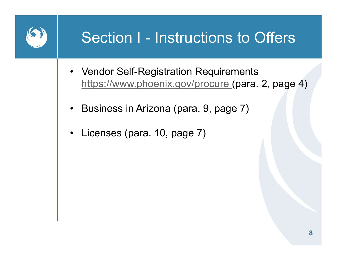# Section I - Instructions to Offers

- Section I Instructions to Offers<br>• Vendor Self-Registration Requirements<br>https://www.phoenix.gov/procure (para. 2, page https://www.phoenix.gov/procure (para. 2, page 4) Section I - Instructions to Offers<br>• Vendor Self-Registration Requirements<br>https://www.phoenix.gov/procure (para. 2, page<br>• Business in Arizona (para. 9, page 7)<br>• Licenses (para. 10, page 7) Section I - Instruction<br>• Vendor Self-Registration Requi<br>https://www.phoenix.gov/procul<br>• Business in Arizona (para. 9, page 7)
- 
-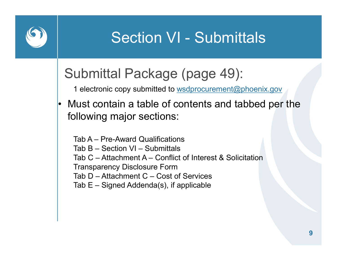

# Section VI - Submittals

#### Submittal Package (page 49):

1 electronic copy submitted to wsdprocurement@phoenix.gov

Section VI - Submittals<br>
Submittal Package (page 49):<br>
1 electronic copy submitted to <u>wsdprocurement@phoenix.gov</u><br>
• Must contain a table of contents and tabbed per the<br>
following major sections: following major sections:

Section VI - Submitta<br>
ubmittal Package (page 49):<br>
1 electronic copy submitted to <u>wsdprocurement@phe</u><br>
Must contain a table of contents and tabl<br>
pllowing major sections:<br>
Tab A – Pre-Award Qualifications<br>
Tab A – Pre-Aw Ubmittal Package (page 49):<br>
1 electronic copy submitted to <u>wsdprocurement@phoenix.gov</u><br>
1 electronic copy submitted to <u>wsdprocurement@phoenix.gov</u><br>
1 ust contain a table of contents and tabbed per<br>
Dilowing major sectio Ubmittal Package (page 49):<br>
1 electronic copy submitted to <u>wsdprocurement@phoenix.gov</u><br>
Must contain a table of contents and tabbed per the<br>
Dilowing major sections:<br>
Tab A – Pre-Award Qualifications<br>
Tab B – Section VI Transparency Disclosure Form Ubmittal Package (page 49):<br>
1 electronic copy submitted to <u>wsdprocurement@phoenix.gov</u><br>
1<br>
Ust contain a table of contents and tabbed per the<br>
Dilowing major sections:<br>
Tab A – Pre-Award Qualifications<br>
Tab C – Attachmen The Hectronic copy submitted to <u>wsdprocurement@</u><br>
1 electronic copy submitted to <u>wsdprocurement@</u><br>
1 electronic copy submitted to <u>wsdprocurement@</u><br>
1 electronic and table of contents and table<br>
1 blowing major sections: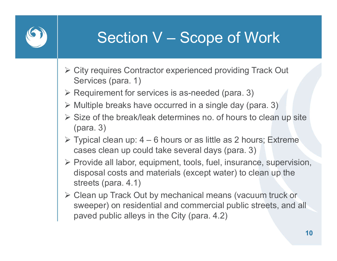# Section V – Scope of Work

- City requires Contractor experienced providing Track Out Services (para. 1)
- $\triangleright$  Requirement for services is as-needed (para. 3)
- $\triangleright$  Multiple breaks have occurred in a single day (para. 3)
- $\triangleright$  Size of the break/leak determines no. of hours to clean up site (para. 3) Section V — Scope of Work<br>
> City requires Contractor experienced providing Track Out<br>
Services (para. 1)<br>
> Requirement for services is as-needed (para. 3)<br>
> Multiple breaks have occurred in a single day (para. 3)<br>
> Si
- cases clean up could take several days (para. 3)
- $\triangleright$  Provide all labor, equipment, tools, fuel, insurance, supervision, disposal costs and materials (except water) to clean up the streets (para. 4.1)
- Clean up Track Out by mechanical means (vacuum truck or sweeper) on residential and commercial public streets, and all paved public alleys in the City (para. 4.2)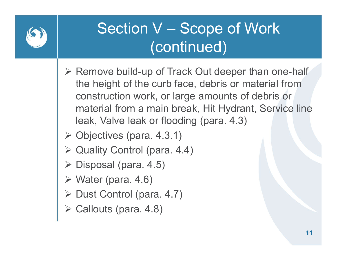

## Section V – Scope of Work<br>(continued) (continued)

- $\triangleright$  Remove build-up of Track Out deeper than one-half the height of the curb face, debris or material from construction work, or large amounts of debris or material from a main break, Hit Hydrant, Service line leak, Valve leak or flooding (para. 4.3)
- $\triangleright$  Objectives (para. 4.3.1)
- ▶ Quality Control (para. 4.4)
- $\triangleright$  Disposal (para. 4.5)
- $\triangleright$  Water (para. 4.6)
- $\triangleright$  Dust Control (para. 4.7)
- Callouts (para. 4.8)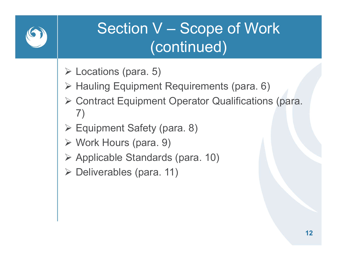

## Section V – Scope of Work<br>(continued) (continued)

- $\triangleright$  Locations (para. 5)
- ▶ Hauling Equipment Requirements (para. 6)
- Contract Equipment Operator Qualifications (para. 7)
- Equipment Safety (para. 8)
- Work Hours (para. 9)
- $\triangleright$  Applicable Standards (para. 10)
- **≻ Deliverables (para. 11)**